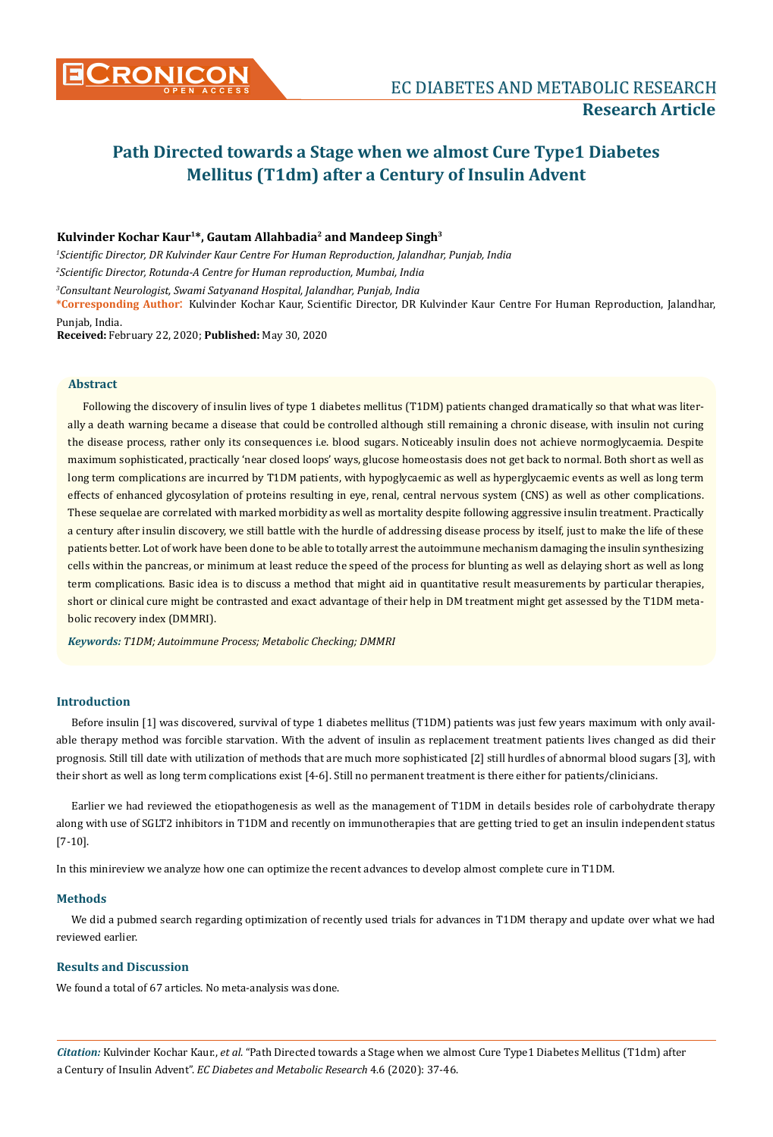

# **Kulvinder Kochar Kaur1\*, Gautam Allahbadia2 and Mandeep Singh3**

*1 Scientific Director, DR Kulvinder Kaur Centre For Human Reproduction, Jalandhar, Punjab, India 2 Scientific Director, Rotunda-A Centre for Human reproduction, Mumbai, India*

*3 Consultant Neurologist, Swami Satyanand Hospital, Jalandhar, Punjab, India*

**\*Corresponding Author**: Kulvinder Kochar Kaur, Scientific Director, DR Kulvinder Kaur Centre For Human Reproduction, Jalandhar, Punjab, India.

**Received:** February 22, 2020; **Published:** May 30, 2020

#### **Abstract**

Following the discovery of insulin lives of type 1 diabetes mellitus (T1DM) patients changed dramatically so that what was literally a death warning became a disease that could be controlled although still remaining a chronic disease, with insulin not curing the disease process, rather only its consequences i.e. blood sugars. Noticeably insulin does not achieve normoglycaemia. Despite maximum sophisticated, practically 'near closed loops' ways, glucose homeostasis does not get back to normal. Both short as well as long term complications are incurred by T1DM patients, with hypoglycaemic as well as hyperglycaemic events as well as long term effects of enhanced glycosylation of proteins resulting in eye, renal, central nervous system (CNS) as well as other complications. These sequelae are correlated with marked morbidity as well as mortality despite following aggressive insulin treatment. Practically a century after insulin discovery, we still battle with the hurdle of addressing disease process by itself, just to make the life of these patients better. Lot of work have been done to be able to totally arrest the autoimmune mechanism damaging the insulin synthesizing cells within the pancreas, or minimum at least reduce the speed of the process for blunting as well as delaying short as well as long term complications. Basic idea is to discuss a method that might aid in quantitative result measurements by particular therapies, short or clinical cure might be contrasted and exact advantage of their help in DM treatment might get assessed by the T1DM metabolic recovery index (DMMRI).

*Keywords: T1DM; Autoimmune Process; Metabolic Checking; DMMRI*

## **Introduction**

Before insulin [1] was discovered, survival of type 1 diabetes mellitus (T1DM) patients was just few years maximum with only available therapy method was forcible starvation. With the advent of insulin as replacement treatment patients lives changed as did their prognosis. Still till date with utilization of methods that are much more sophisticated [2] still hurdles of abnormal blood sugars [3], with their short as well as long term complications exist [4-6]. Still no permanent treatment is there either for patients/clinicians.

Earlier we had reviewed the etiopathogenesis as well as the management of T1DM in details besides role of carbohydrate therapy along with use of SGLT2 inhibitors in T1DM and recently on immunotherapies that are getting tried to get an insulin independent status [7-10].

In this minireview we analyze how one can optimize the recent advances to develop almost complete cure in T1DM.

#### **Methods**

We did a pubmed search regarding optimization of recently used trials for advances in T1DM therapy and update over what we had reviewed earlier.

# **Results and Discussion**

We found a total of 67 articles. No meta-analysis was done.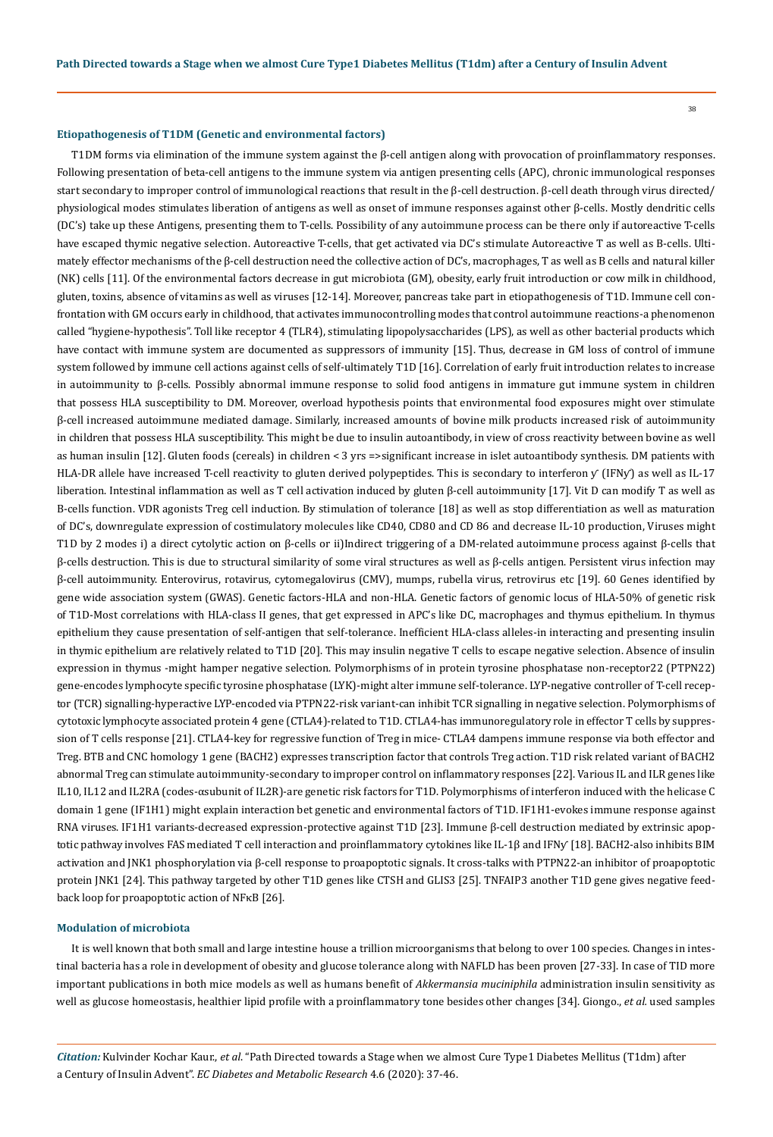38

#### **Etiopathogenesis of T1DM (Genetic and environmental factors)**

T1DM forms via elimination of the immune system against the  $\beta$ -cell antigen along with provocation of proinflammatory responses. Following presentation of beta-cell antigens to the immune system via antigen presenting cells (APC), chronic immunological responses start secondary to improper control of immunological reactions that result in the β-cell destruction. β-cell death through virus directed/ physiological modes stimulates liberation of antigens as well as onset of immune responses against other β-cells. Mostly dendritic cells (DC's) take up these Antigens, presenting them to T-cells. Possibility of any autoimmune process can be there only if autoreactive T-cells have escaped thymic negative selection. Autoreactive T-cells, that get activated via DC's stimulate Autoreactive T as well as B-cells. Ultimately effector mechanisms of the β-cell destruction need the collective action of DC's, macrophages, T as well as B cells and natural killer (NK) cells [11]. Of the environmental factors decrease in gut microbiota (GM), obesity, early fruit introduction or cow milk in childhood, gluten, toxins, absence of vitamins as well as viruses [12-14]. Moreover, pancreas take part in etiopathogenesis of T1D. Immune cell confrontation with GM occurs early in childhood, that activates immunocontrolling modes that control autoimmune reactions-a phenomenon called "hygiene-hypothesis". Toll like receptor 4 (TLR4), stimulating lipopolysaccharides (LPS), as well as other bacterial products which have contact with immune system are documented as suppressors of immunity [15]. Thus, decrease in GM loss of control of immune system followed by immune cell actions against cells of self-ultimately T1D [16]. Correlation of early fruit introduction relates to increase in autoimmunity to β-cells. Possibly abnormal immune response to solid food antigens in immature gut immune system in children that possess HLA susceptibility to DM. Moreover, overload hypothesis points that environmental food exposures might over stimulate β-cell increased autoimmune mediated damage. Similarly, increased amounts of bovine milk products increased risk of autoimmunity in children that possess HLA susceptibility. This might be due to insulin autoantibody, in view of cross reactivity between bovine as well as human insulin [12]. Gluten foods (cereals) in children < 3 yrs =>significant increase in islet autoantibody synthesis. DM patients with HLA-DR allele have increased T-cell reactivity to gluten derived polypeptides. This is secondary to interferon y (IFNy) as well as IL-17 liberation. Intestinal inflammation as well as T cell activation induced by gluten β-cell autoimmunity [17]. Vit D can modify T as well as B-cells function. VDR agonists Treg cell induction. By stimulation of tolerance [18] as well as stop differentiation as well as maturation of DC's, downregulate expression of costimulatory molecules like CD40, CD80 and CD 86 and decrease IL-10 production, Viruses might T1D by 2 modes i) a direct cytolytic action on β-cells or ii)Indirect triggering of a DM-related autoimmune process against β-cells that β-cells destruction. This is due to structural similarity of some viral structures as well as β-cells antigen. Persistent virus infection may β-cell autoimmunity. Enterovirus, rotavirus, cytomegalovirus (CMV), mumps, rubella virus, retrovirus etc [19]. 60 Genes identified by gene wide association system (GWAS). Genetic factors-HLA and non-HLA. Genetic factors of genomic locus of HLA-50% of genetic risk of T1D-Most correlations with HLA-class II genes, that get expressed in APC's like DC, macrophages and thymus epithelium. In thymus epithelium they cause presentation of self-antigen that self-tolerance. Inefficient HLA-class alleles-in interacting and presenting insulin in thymic epithelium are relatively related to T1D [20]. This may insulin negative T cells to escape negative selection. Absence of insulin expression in thymus -might hamper negative selection. Polymorphisms of in protein tyrosine phosphatase non-receptor22 (PTPN22) gene-encodes lymphocyte specific tyrosine phosphatase (LYK)-might alter immune self-tolerance. LYP-negative controller of T-cell receptor (TCR) signalling-hyperactive LYP-encoded via PTPN22-risk variant-can inhibit TCR signalling in negative selection. Polymorphisms of cytotoxic lymphocyte associated protein 4 gene (CTLA4)-related to T1D. CTLA4-has immunoregulatory role in effector T cells by suppression of T cells response [21]. CTLA4-key for regressive function of Treg in mice- CTLA4 dampens immune response via both effector and Treg. BTB and CNC homology 1 gene (BACH2) expresses transcription factor that controls Treg action. T1D risk related variant of BACH2 abnormal Treg can stimulate autoimmunity-secondary to improper control on inflammatory responses [22]. Various IL and ILR genes like IL10, IL12 and IL2RA (codes-αsubunit of IL2R)-are genetic risk factors for T1D. Polymorphisms of interferon induced with the helicase C domain 1 gene (IF1H1) might explain interaction bet genetic and environmental factors of T1D. IF1H1-evokes immune response against RNA viruses. IF1H1 variants-decreased expression-protective against T1D [23]. Immune β-cell destruction mediated by extrinsic apoptotic pathway involves FAS mediated T cell interaction and proinflammatory cytokines like IL-1β and IFNƴ [18]. BACH2-also inhibits BIM activation and JNK1 phosphorylation via β-cell response to proapoptotic signals. It cross-talks with PTPN22-an inhibitor of proapoptotic protein JNK1 [24]. This pathway targeted by other T1D genes like CTSH and GLIS3 [25]. TNFAIP3 another T1D gene gives negative feedback loop for proapoptotic action of NFκB [26].

#### **Modulation of microbiota**

It is well known that both small and large intestine house a trillion microorganisms that belong to over 100 species. Changes in intestinal bacteria has a role in development of obesity and glucose tolerance along with NAFLD has been proven [27-33]. In case of TID more important publications in both mice models as well as humans benefit of *Akkermansia muciniphila* administration insulin sensitivity as well as glucose homeostasis, healthier lipid profile with a proinflammatory tone besides other changes [34]. Giongo., *et al.* used samples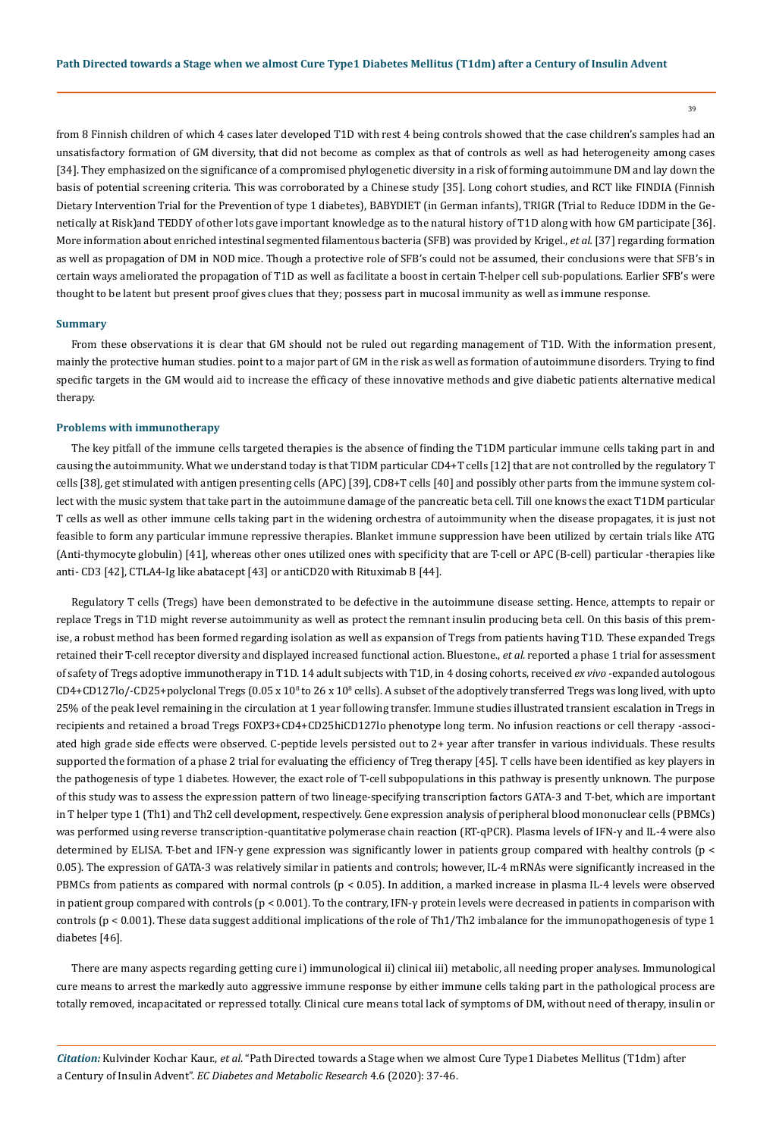39

from 8 Finnish children of which 4 cases later developed T1D with rest 4 being controls showed that the case children's samples had an unsatisfactory formation of GM diversity, that did not become as complex as that of controls as well as had heterogeneity among cases [34]. They emphasized on the significance of a compromised phylogenetic diversity in a risk of forming autoimmune DM and lay down the basis of potential screening criteria. This was corroborated by a Chinese study [35]. Long cohort studies, and RCT like FINDIA (Finnish Dietary Intervention Trial for the Prevention of type 1 diabetes), BABYDIET (in German infants), TRIGR (Trial to Reduce IDDM in the Genetically at Risk)and TEDDY of other lots gave important knowledge as to the natural history of T1D along with how GM participate [36]. More information about enriched intestinal segmented filamentous bacteria (SFB) was provided by Krigel., *et al.* [37] regarding formation as well as propagation of DM in NOD mice. Though a protective role of SFB's could not be assumed, their conclusions were that SFB's in certain ways ameliorated the propagation of T1D as well as facilitate a boost in certain T-helper cell sub-populations. Earlier SFB's were thought to be latent but present proof gives clues that they; possess part in mucosal immunity as well as immune response.

#### **Summary**

From these observations it is clear that GM should not be ruled out regarding management of T1D. With the information present, mainly the protective human studies. point to a major part of GM in the risk as well as formation of autoimmune disorders. Trying to find specific targets in the GM would aid to increase the efficacy of these innovative methods and give diabetic patients alternative medical therapy.

#### **Problems with immunotherapy**

The key pitfall of the immune cells targeted therapies is the absence of finding the T1DM particular immune cells taking part in and causing the autoimmunity. What we understand today is that TIDM particular CD4+T cells [12] that are not controlled by the regulatory T cells [38], get stimulated with antigen presenting cells (APC) [39], CD8+T cells [40] and possibly other parts from the immune system collect with the music system that take part in the autoimmune damage of the pancreatic beta cell. Till one knows the exact T1DM particular T cells as well as other immune cells taking part in the widening orchestra of autoimmunity when the disease propagates, it is just not feasible to form any particular immune repressive therapies. Blanket immune suppression have been utilized by certain trials like ATG (Anti-thymocyte globulin) [41], whereas other ones utilized ones with specificity that are T-cell or APC (B-cell) particular -therapies like anti- CD3 [42], CTLA4-Ig like abatacept [43] or antiCD20 with Rituximab B [44].

Regulatory T cells (Tregs) have been demonstrated to be defective in the autoimmune disease setting. Hence, attempts to repair or replace Tregs in T1D might reverse autoimmunity as well as protect the remnant insulin producing beta cell. On this basis of this premise, a robust method has been formed regarding isolation as well as expansion of Tregs from patients having T1D. These expanded Tregs retained their T-cell receptor diversity and displayed increased functional action. Bluestone., *et al.* reported a phase 1 trial for assessment of safety of Tregs adoptive immunotherapy in T1D. 14 adult subjects with T1D, in 4 dosing cohorts, received *ex vivo* -expanded autologous  $CD4+CD127$ lo/- $CD25+$ polyclonal Tregs ( $0.05 \times 10^8$  to  $26 \times 10^8$  cells). A subset of the adoptively transferred Tregs was long lived, with upto 25% of the peak level remaining in the circulation at 1 year following transfer. Immune studies illustrated transient escalation in Tregs in recipients and retained a broad Tregs FOXP3+CD4+CD25hiCD127lo phenotype long term. No infusion reactions or cell therapy -associated high grade side effects were observed. C-peptide levels persisted out to 2+ year after transfer in various individuals. These results supported the formation of a phase 2 trial for evaluating the efficiency of Treg therapy [45]. T cells have been identified as key players in the pathogenesis of type 1 diabetes. However, the exact role of T-cell subpopulations in this pathway is presently unknown. The purpose of this study was to assess the expression pattern of two lineage-specifying transcription factors GATA-3 and T-bet, which are important in T helper type 1 (Th1) and Th2 cell development, respectively. Gene expression analysis of peripheral blood mononuclear cells (PBMCs) was performed using reverse transcription-quantitative polymerase chain reaction (RT-qPCR). Plasma levels of IFN-γ and IL-4 were also determined by ELISA. T-bet and IFN-γ gene expression was significantly lower in patients group compared with healthy controls (p < 0.05). The expression of GATA-3 was relatively similar in patients and controls; however, IL-4 mRNAs were significantly increased in the PBMCs from patients as compared with normal controls (p < 0.05). In addition, a marked increase in plasma IL-4 levels were observed in patient group compared with controls (p < 0.001). To the contrary, IFN-γ protein levels were decreased in patients in comparison with controls (p < 0.001). These data suggest additional implications of the role of Th1/Th2 imbalance for the immunopathogenesis of type 1 diabetes [46].

There are many aspects regarding getting cure i) immunological ii) clinical iii) metabolic, all needing proper analyses. Immunological cure means to arrest the markedly auto aggressive immune response by either immune cells taking part in the pathological process are totally removed, incapacitated or repressed totally. Clinical cure means total lack of symptoms of DM, without need of therapy, insulin or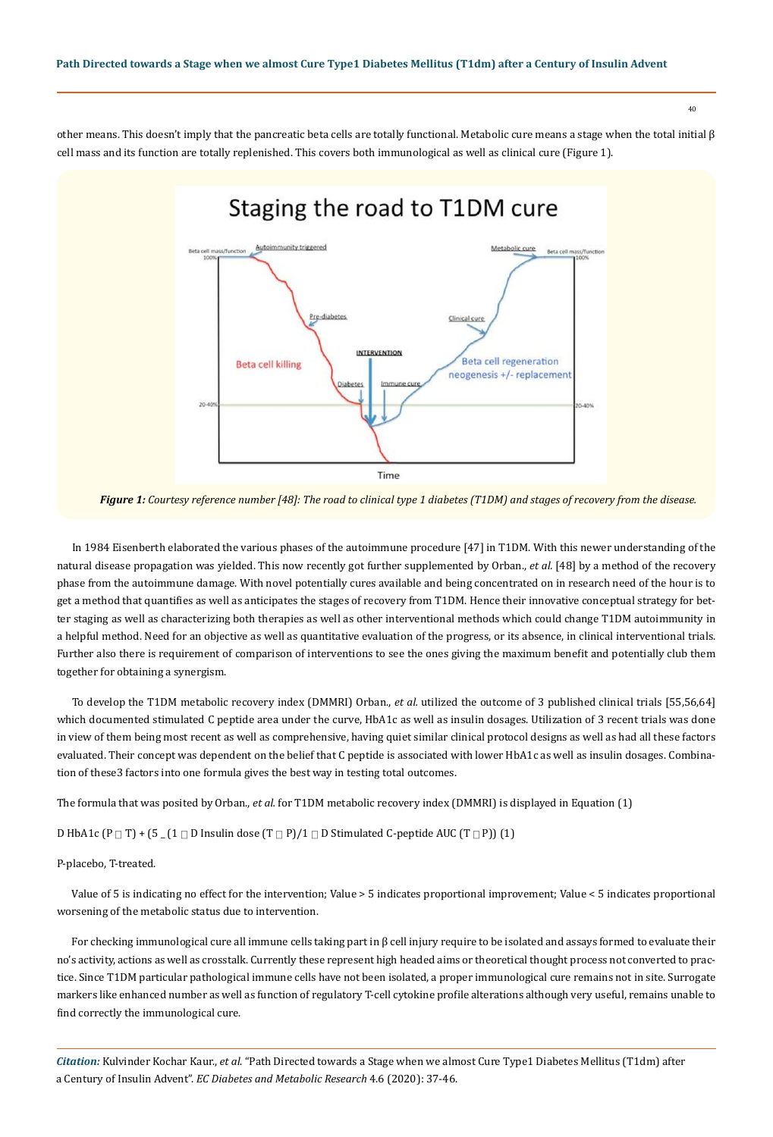40

other means. This doesn't imply that the pancreatic beta cells are totally functional. Metabolic cure means a stage when the total initial β cell mass and its function are totally replenished. This covers both immunological as well as clinical cure (Figure 1).



*Figure 1: Courtesy reference number [48]: The road to clinical type 1 diabetes (T1DM) and stages of recovery from the disease.* 

In 1984 Eisenberth elaborated the various phases of the autoimmune procedure [47] in T1DM. With this newer understanding of the natural disease propagation was yielded. This now recently got further supplemented by Orban., *et al.* [48] by a method of the recovery phase from the autoimmune damage. With novel potentially cures available and being concentrated on in research need of the hour is to get a method that quantifies as well as anticipates the stages of recovery from T1DM. Hence their innovative conceptual strategy for better staging as well as characterizing both therapies as well as other interventional methods which could change T1DM autoimmunity in a helpful method. Need for an objective as well as quantitative evaluation of the progress, or its absence, in clinical interventional trials. Further also there is requirement of comparison of interventions to see the ones giving the maximum benefit and potentially club them together for obtaining a synergism.

To develop the T1DM metabolic recovery index (DMMRI) Orban., *et al.* utilized the outcome of 3 published clinical trials [55,56,64] which documented stimulated C peptide area under the curve, HbA1c as well as insulin dosages. Utilization of 3 recent trials was done in view of them being most recent as well as comprehensive, having quiet similar clinical protocol designs as well as had all these factors evaluated. Their concept was dependent on the belief that C peptide is associated with lower HbA1c as well as insulin dosages. Combination of these3 factors into one formula gives the best way in testing total outcomes.

The formula that was posited by Orban., *et al.* for T1DM metabolic recovery index (DMMRI) is displayed in Equation (1)

D HbA1c (P  $\Box$  T) + (5  $\Box$  (1  $\Box$  D Insulin dose (T  $\Box$  P)/1  $\Box$  D Stimulated C-peptide AUC (T  $\Box$  P)) (1)

#### P-placebo, T-treated.

Value of 5 is indicating no effect for the intervention; Value > 5 indicates proportional improvement; Value < 5 indicates proportional worsening of the metabolic status due to intervention.

For checking immunological cure all immune cells taking part in β cell injury require to be isolated and assays formed to evaluate their no's activity, actions as well as crosstalk. Currently these represent high headed aims or theoretical thought process not converted to practice. Since T1DM particular pathological immune cells have not been isolated, a proper immunological cure remains not in site. Surrogate markers like enhanced number as well as function of regulatory T-cell cytokine profile alterations although very useful, remains unable to find correctly the immunological cure.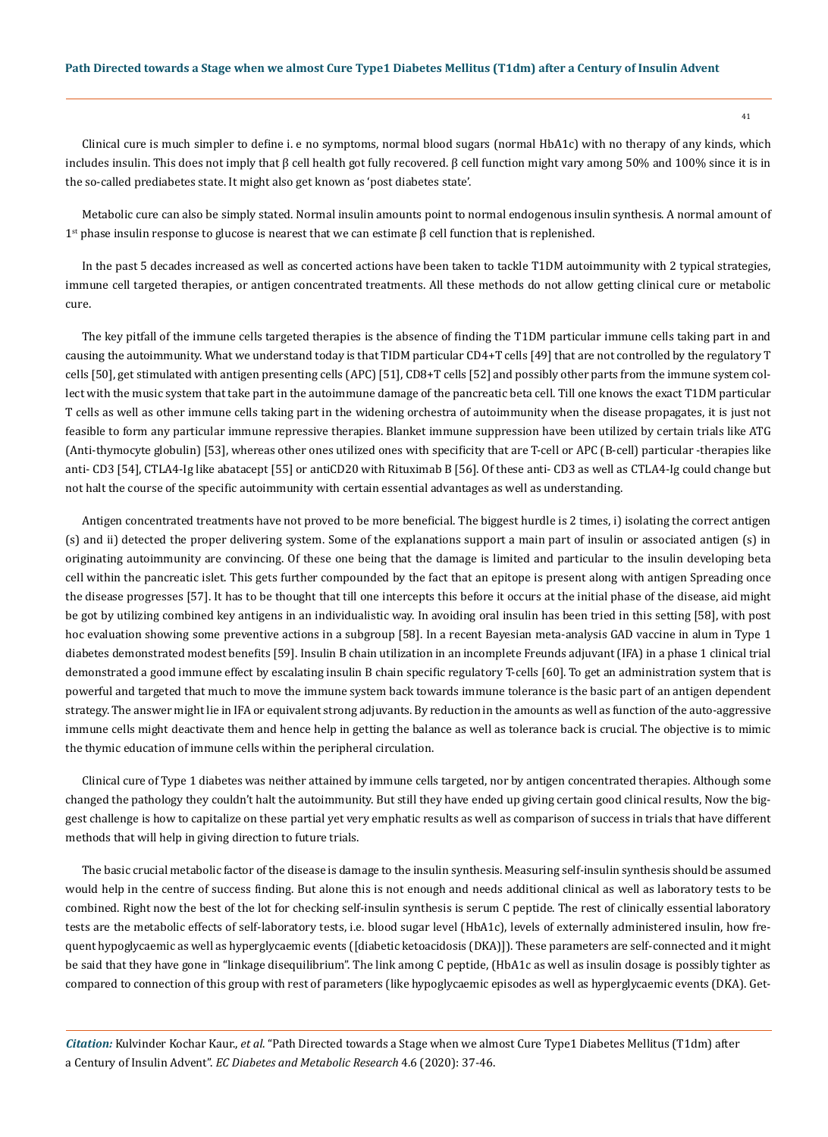Clinical cure is much simpler to define i. e no symptoms, normal blood sugars (normal HbA1c) with no therapy of any kinds, which includes insulin. This does not imply that β cell health got fully recovered. β cell function might vary among 50% and 100% since it is in the so-called prediabetes state. It might also get known as 'post diabetes state'.

Metabolic cure can also be simply stated. Normal insulin amounts point to normal endogenous insulin synthesis. A normal amount of 1<sup>st</sup> phase insulin response to glucose is nearest that we can estimate β cell function that is replenished.

In the past 5 decades increased as well as concerted actions have been taken to tackle T1DM autoimmunity with 2 typical strategies, immune cell targeted therapies, or antigen concentrated treatments. All these methods do not allow getting clinical cure or metabolic cure.

The key pitfall of the immune cells targeted therapies is the absence of finding the T1DM particular immune cells taking part in and causing the autoimmunity. What we understand today is that TIDM particular CD4+T cells [49] that are not controlled by the regulatory T cells [50], get stimulated with antigen presenting cells (APC) [51], CD8+T cells [52] and possibly other parts from the immune system collect with the music system that take part in the autoimmune damage of the pancreatic beta cell. Till one knows the exact T1DM particular T cells as well as other immune cells taking part in the widening orchestra of autoimmunity when the disease propagates, it is just not feasible to form any particular immune repressive therapies. Blanket immune suppression have been utilized by certain trials like ATG (Anti-thymocyte globulin) [53], whereas other ones utilized ones with specificity that are T-cell or APC (B-cell) particular -therapies like anti- CD3 [54], CTLA4-Ig like abatacept [55] or antiCD20 with Rituximab B [56]. Of these anti- CD3 as well as CTLA4-Ig could change but not halt the course of the specific autoimmunity with certain essential advantages as well as understanding.

Antigen concentrated treatments have not proved to be more beneficial. The biggest hurdle is 2 times, i) isolating the correct antigen (s) and ii) detected the proper delivering system. Some of the explanations support a main part of insulin or associated antigen (s) in originating autoimmunity are convincing. Of these one being that the damage is limited and particular to the insulin developing beta cell within the pancreatic islet. This gets further compounded by the fact that an epitope is present along with antigen Spreading once the disease progresses [57]. It has to be thought that till one intercepts this before it occurs at the initial phase of the disease, aid might be got by utilizing combined key antigens in an individualistic way. In avoiding oral insulin has been tried in this setting [58], with post hoc evaluation showing some preventive actions in a subgroup [58]. In a recent Bayesian meta-analysis GAD vaccine in alum in Type 1 diabetes demonstrated modest benefits [59]. Insulin B chain utilization in an incomplete Freunds adjuvant (IFA) in a phase 1 clinical trial demonstrated a good immune effect by escalating insulin B chain specific regulatory T-cells [60]. To get an administration system that is powerful and targeted that much to move the immune system back towards immune tolerance is the basic part of an antigen dependent strategy. The answer might lie in IFA or equivalent strong adjuvants. By reduction in the amounts as well as function of the auto-aggressive immune cells might deactivate them and hence help in getting the balance as well as tolerance back is crucial. The objective is to mimic the thymic education of immune cells within the peripheral circulation.

Clinical cure of Type 1 diabetes was neither attained by immune cells targeted, nor by antigen concentrated therapies. Although some changed the pathology they couldn't halt the autoimmunity. But still they have ended up giving certain good clinical results, Now the biggest challenge is how to capitalize on these partial yet very emphatic results as well as comparison of success in trials that have different methods that will help in giving direction to future trials.

The basic crucial metabolic factor of the disease is damage to the insulin synthesis. Measuring self-insulin synthesis should be assumed would help in the centre of success finding. But alone this is not enough and needs additional clinical as well as laboratory tests to be combined. Right now the best of the lot for checking self-insulin synthesis is serum C peptide. The rest of clinically essential laboratory tests are the metabolic effects of self-laboratory tests, i.e. blood sugar level (HbA1c), levels of externally administered insulin, how frequent hypoglycaemic as well as hyperglycaemic events ([diabetic ketoacidosis (DKA)]). These parameters are self-connected and it might be said that they have gone in "linkage disequilibrium". The link among C peptide, (HbA1c as well as insulin dosage is possibly tighter as compared to connection of this group with rest of parameters (like hypoglycaemic episodes as well as hyperglycaemic events (DKA). Get-

*Citation:* Kulvinder Kochar Kaur., *et al*. "Path Directed towards a Stage when we almost Cure Type1 Diabetes Mellitus (T1dm) after a Century of Insulin Advent". *EC Diabetes and Metabolic Research* 4.6 (2020): 37-46.

41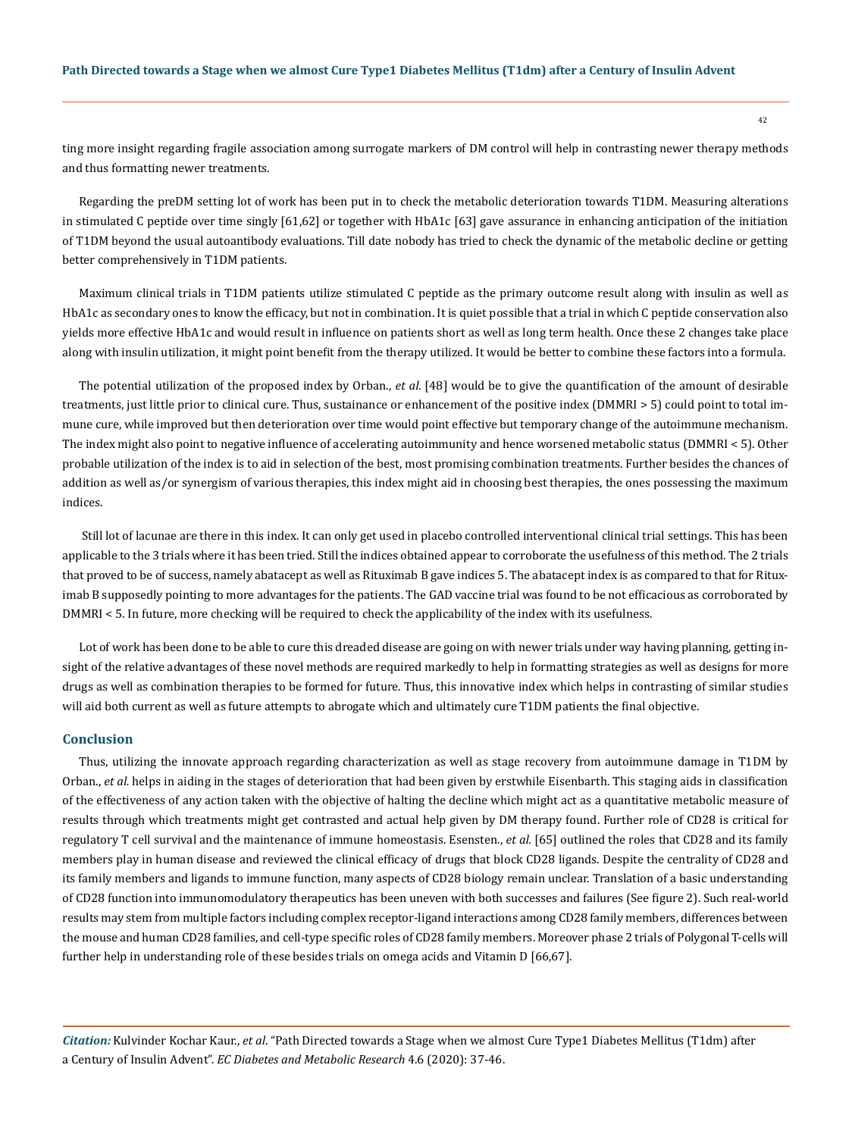ting more insight regarding fragile association among surrogate markers of DM control will help in contrasting newer therapy methods and thus formatting newer treatments.

Regarding the preDM setting lot of work has been put in to check the metabolic deterioration towards T1DM. Measuring alterations in stimulated C peptide over time singly [61,62] or together with HbA1c [63] gave assurance in enhancing anticipation of the initiation of T1DM beyond the usual autoantibody evaluations. Till date nobody has tried to check the dynamic of the metabolic decline or getting better comprehensively in T1DM patients.

Maximum clinical trials in T1DM patients utilize stimulated C peptide as the primary outcome result along with insulin as well as HbA1c as secondary ones to know the efficacy, but not in combination. It is quiet possible that a trial in which C peptide conservation also yields more effective HbA1c and would result in influence on patients short as well as long term health. Once these 2 changes take place along with insulin utilization, it might point benefit from the therapy utilized. It would be better to combine these factors into a formula.

The potential utilization of the proposed index by Orban., *et al.* [48] would be to give the quantification of the amount of desirable treatments, just little prior to clinical cure. Thus, sustainance or enhancement of the positive index (DMMRI > 5) could point to total immune cure, while improved but then deterioration over time would point effective but temporary change of the autoimmune mechanism. The index might also point to negative influence of accelerating autoimmunity and hence worsened metabolic status (DMMRI < 5). Other probable utilization of the index is to aid in selection of the best, most promising combination treatments. Further besides the chances of addition as well as/or synergism of various therapies, this index might aid in choosing best therapies, the ones possessing the maximum indices.

 Still lot of lacunae are there in this index. It can only get used in placebo controlled interventional clinical trial settings. This has been applicable to the 3 trials where it has been tried. Still the indices obtained appear to corroborate the usefulness of this method. The 2 trials that proved to be of success, namely abatacept as well as Rituximab B gave indices 5. The abatacept index is as compared to that for Rituximab B supposedly pointing to more advantages for the patients. The GAD vaccine trial was found to be not efficacious as corroborated by DMMRI < 5. In future, more checking will be required to check the applicability of the index with its usefulness.

Lot of work has been done to be able to cure this dreaded disease are going on with newer trials under way having planning, getting insight of the relative advantages of these novel methods are required markedly to help in formatting strategies as well as designs for more drugs as well as combination therapies to be formed for future. Thus, this innovative index which helps in contrasting of similar studies will aid both current as well as future attempts to abrogate which and ultimately cure T1DM patients the final objective.

## **Conclusion**

Thus, utilizing the innovate approach regarding characterization as well as stage recovery from autoimmune damage in T1DM by Orban., *et al.* helps in aiding in the stages of deterioration that had been given by erstwhile Eisenbarth. This staging aids in classification of the effectiveness of any action taken with the objective of halting the decline which might act as a quantitative metabolic measure of results through which treatments might get contrasted and actual help given by DM therapy found. Further role of CD28 is critical for regulatory T cell survival and the maintenance of immune homeostasis. Esensten., *et al.* [65] outlined the roles that CD28 and its family members play in human disease and reviewed the clinical efficacy of drugs that block CD28 ligands. Despite the centrality of CD28 and its family members and ligands to immune function, many aspects of CD28 biology remain unclear. Translation of a basic understanding of CD28 function into immunomodulatory therapeutics has been uneven with both successes and failures (See figure 2). Such real-world results may stem from multiple factors including complex receptor-ligand interactions among CD28 family members, differences between the mouse and human CD28 families, and cell-type specific roles of CD28 family members. Moreover phase 2 trials of Polygonal T-cells will further help in understanding role of these besides trials on omega acids and Vitamin D [66,67].

*Citation:* Kulvinder Kochar Kaur., *et al*. "Path Directed towards a Stage when we almost Cure Type1 Diabetes Mellitus (T1dm) after a Century of Insulin Advent". *EC Diabetes and Metabolic Research* 4.6 (2020): 37-46.

42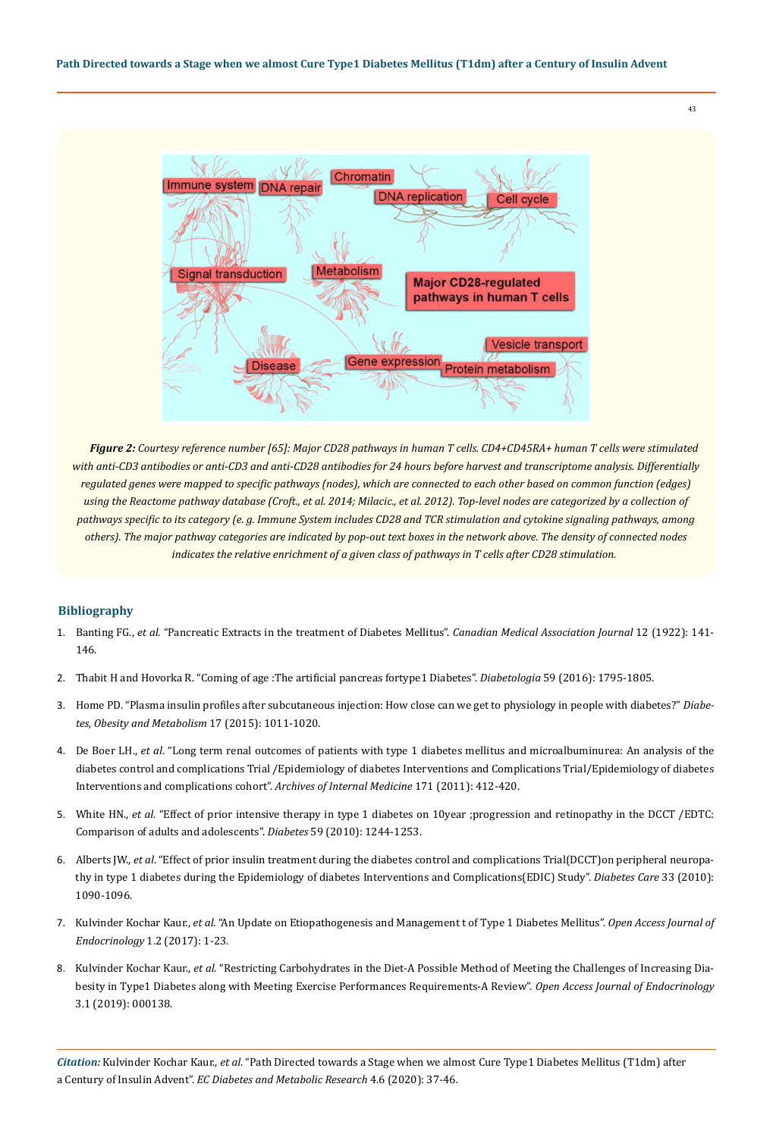

*Figure 2: Courtesy reference number [65]: Major CD28 pathways in human T cells. CD4+CD45RA+ human T cells were stimulated with anti-CD3 antibodies or anti-CD3 and anti-CD28 antibodies for 24 hours before harvest and transcriptome analysis. Differentially regulated genes were mapped to specific pathways (nodes), which are connected to each other based on common function (edges) using the Reactome pathway database (Croft., et al. 2014; Milacic., et al. 2012). Top-level nodes are categorized by a collection of pathways specific to its category (e. g. Immune System includes CD28 and TCR stimulation and cytokine signaling pathways, among others). The major pathway categories are indicated by pop-out text boxes in the network above. The density of connected nodes indicates the relative enrichment of a given class of pathways in T cells after CD28 stimulation.*

# **Bibliography**

- 1. Banting FG., *et al*[. "Pancreatic Extracts in the treatment of Diabetes Mellitus".](https://www.ncbi.nlm.nih.gov/pmc/articles/PMC1524425/) *Canadian Medical Association Journal* 12 (1922): 141- [146.](https://www.ncbi.nlm.nih.gov/pmc/articles/PMC1524425/)
- 2. [Thabit H and Hovorka R. "Coming of age :The artificial pancreas fortype1 Diabetes".](https://www.ncbi.nlm.nih.gov/pmc/articles/PMC4969330/) *Diabetologia* 59 (2016): 1795-1805.
- 3. [Home PD. "Plasma insulin profiles after subcutaneous injection: How close can we get to physiology in people with diabetes?"](https://www.ncbi.nlm.nih.gov/pubmed/26041603) *Diabe[tes, Obesity and Metabolism](https://www.ncbi.nlm.nih.gov/pubmed/26041603)* 17 (2015): 1011-1020.
- 4. De Boer LH., *et al*[. "Long term renal outcomes of patients with type 1 diabetes mellitus and microalbuminurea: An analysis of the](https://www.ncbi.nlm.nih.gov/pubmed/21403038) [diabetes control and complications Trial /Epidemiology of diabetes Interventions and Complications Trial/Epidemiology of diabetes](https://www.ncbi.nlm.nih.gov/pubmed/21403038) [Interventions and complications cohort".](https://www.ncbi.nlm.nih.gov/pubmed/21403038) *Archives of Internal Medicine* 171 (2011): 412-420.
- 5. White HN., *et al*[. "Effect of prior intensive therapy in type 1 diabetes on 10year ;progression and retinopathy in the DCCT /EDTC:](https://www.ncbi.nlm.nih.gov/pubmed/20150283) [Comparison of adults and adolescents".](https://www.ncbi.nlm.nih.gov/pubmed/20150283) *Diabetes* 59 (2010): 1244-1253.
- 6. Alberts JW., *et al*[. "Effect of prior insulin treatment during the diabetes control and complications Trial\(DCCT\)on peripheral neuropa](https://www.ncbi.nlm.nih.gov/pubmed/20150297)[thy in type 1 diabetes during the Epidemiology of diabetes Interventions and Complications\(EDIC\) Study".](https://www.ncbi.nlm.nih.gov/pubmed/20150297) *Diabetes Care* 33 (2010): [1090-1096.](https://www.ncbi.nlm.nih.gov/pubmed/20150297)
- 7. Kulvinder Kochar Kaur., *et al*. "An Update on Etiopathogenesis and Management t of Type 1 Diabetes Mellitus". *Open Access Journal of Endocrinology* 1.2 (2017): 1-23.
- 8. Kulvinder Kochar Kaur., *et al*[. "Restricting Carbohydrates in the Diet-A Possible Method of Meeting the Challenges of Increasing Dia](https://www.researchgate.net/publication/333611371_Open_Access_Journal_of_Endocrinology_Restricting_Carbohydrates_in_the_Diet-A_Possible_Method_of_Meeting_the_Challenges_of_Increasing_Diabesity_in_Type1_Diabetes_along_with_Meeting_Exercise_Performance)[besity in Type1 Diabetes along with Meeting Exercise Performances Requirements-A Review".](https://www.researchgate.net/publication/333611371_Open_Access_Journal_of_Endocrinology_Restricting_Carbohydrates_in_the_Diet-A_Possible_Method_of_Meeting_the_Challenges_of_Increasing_Diabesity_in_Type1_Diabetes_along_with_Meeting_Exercise_Performance) *Open Access Journal of Endocrinology*  [3.1 \(2019\): 000138.](https://www.researchgate.net/publication/333611371_Open_Access_Journal_of_Endocrinology_Restricting_Carbohydrates_in_the_Diet-A_Possible_Method_of_Meeting_the_Challenges_of_Increasing_Diabesity_in_Type1_Diabetes_along_with_Meeting_Exercise_Performance)

*Citation:* Kulvinder Kochar Kaur., *et al*. "Path Directed towards a Stage when we almost Cure Type1 Diabetes Mellitus (T1dm) after a Century of Insulin Advent". *EC Diabetes and Metabolic Research* 4.6 (2020): 37-46.

43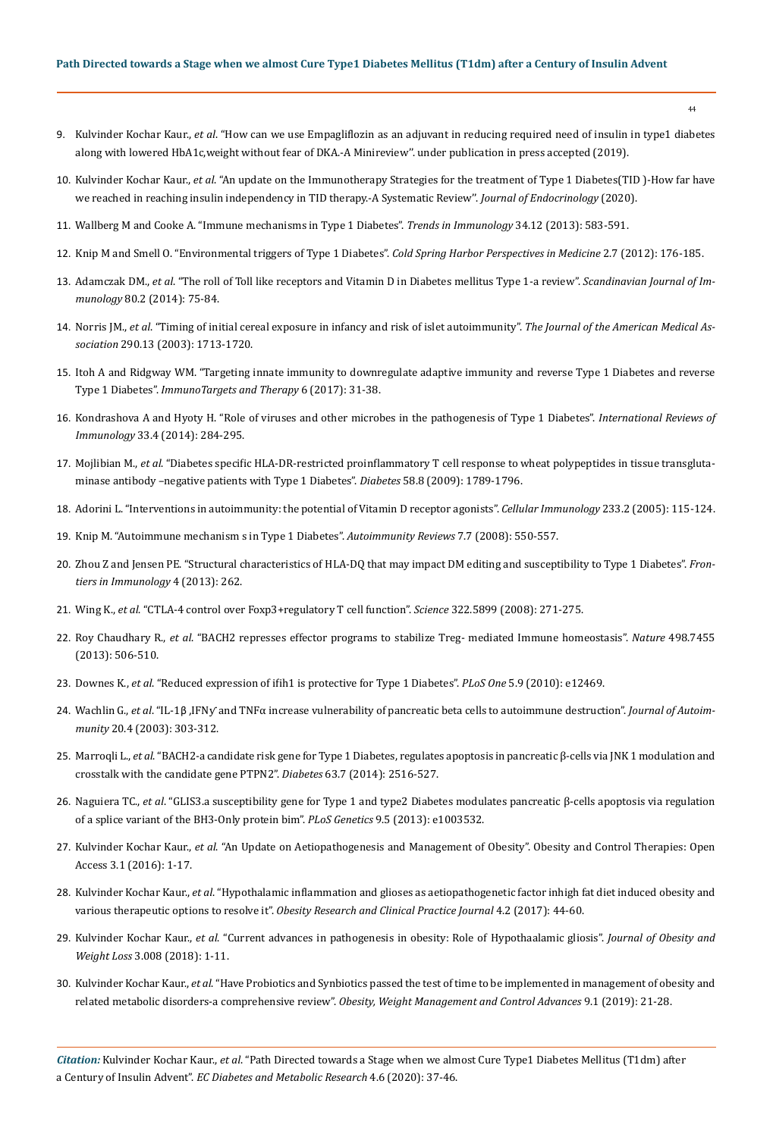- 44
- 9. Kulvinder Kochar Kaur., *et al*[. "How can we use Empagliflozin as an adjuvant in reducing required need of insulin in type1 diabetes](http://www.tridhascholars.org/pdfs/how-can-we-use-empagliflozin-as-an-adjuvant-in-reducing-required-need-of-insulin-in-type-1-diabetes-along-with-lowered-hba1c-weight-without-fear-of-dka-a-mini-review-joccr-4-1083.pdf)  [along with lowered HbA1c,weight without fear of DKA.-A Minireview''. under publication in press accepted \(2019\).](http://www.tridhascholars.org/pdfs/how-can-we-use-empagliflozin-as-an-adjuvant-in-reducing-required-need-of-insulin-in-type-1-diabetes-along-with-lowered-hba1c-weight-without-fear-of-dka-a-mini-review-joccr-4-1083.pdf)
- 10. Kulvinder Kochar Kaur., *et al*[. "An update on the Immunotherapy Strategies for the treatment of Type 1 Diabetes\(TID \)-How far have](https://www.researchgate.net/publication/340844829_An_update_on_the_Immunotherapy_Strategies_for_the_treatment_of_Type_1_Diabetes_TID-How_far_have_we_reached_in_reaching_insulin_independency_in_TID_therapy-A_Systematic_Review)  [we reached in reaching insulin independency in TID therapy.-A Systematic Review''.](https://www.researchgate.net/publication/340844829_An_update_on_the_Immunotherapy_Strategies_for_the_treatment_of_Type_1_Diabetes_TID-How_far_have_we_reached_in_reaching_insulin_independency_in_TID_therapy-A_Systematic_Review) *Journal of Endocrinology* (2020).
- 11. [Wallberg M and Cooke A. "Immune mechanisms in Type 1 Diabetes".](https://www.ncbi.nlm.nih.gov/pubmed/24054837) *Trends in Immunology* 34.12 (2013): 583-591.
- 12. [Knip M and Smell O. "Environmental triggers of Type 1 Diabetes".](https://www.ncbi.nlm.nih.gov/pmc/articles/PMC5571740/) *Cold Spring Harbor Perspectives in Medicine* 2.7 (2012): 176-185.
- 13. Adamczak DM., *et al*[. "The roll of Toll like receptors and Vitamin D in Diabetes mellitus Type 1-a review".](https://www.ncbi.nlm.nih.gov/pubmed/24845558) *Scandinavian Journal of Immunology* [80.2 \(2014\): 75-84.](https://www.ncbi.nlm.nih.gov/pubmed/24845558)
- 14. Norris JM., *et al*[. "Timing of initial cereal exposure in infancy and risk of islet autoimmunity".](https://jamanetwork.com/journals/jama/fullarticle/197392) *The Journal of the American Medical Association* [290.13 \(2003\): 1713-1720.](https://jamanetwork.com/journals/jama/fullarticle/197392)
- 15. [Itoh A and Ridgway WM. "Targeting innate immunity to downregulate adaptive immunity and reverse Type 1 Diabetes and reverse](https://www.ncbi.nlm.nih.gov/pmc/articles/PMC5448691/)  Type 1 Diabetes". *[ImmunoTargets and Therapy](https://www.ncbi.nlm.nih.gov/pmc/articles/PMC5448691/)* 6 (2017): 31-38.
- 16. [Kondrashova A and Hyoty H. "Role of viruses and other microbes in the pathogenesis of Type 1 Diabetes".](https://www.tandfonline.com/doi/abs/10.3109/08830185.2014.889130?journalCode=iiri20) *International Reviews of Immunology* [33.4 \(2014\): 284-295.](https://www.tandfonline.com/doi/abs/10.3109/08830185.2014.889130?journalCode=iiri20)
- 17. Mojlibian M., *et al*[. "Diabetes specific HLA-DR-restricted proinflammatory T cell response to wheat polypeptides in tissue transgluta](https://www.ncbi.nlm.nih.gov/pubmed/19401421)[minase antibody –negative patients with Type 1 Diabetes".](https://www.ncbi.nlm.nih.gov/pubmed/19401421) *Diabetes* 58.8 (2009): 1789-1796.
- 18. [Adorini L. "Interventions in autoimmunity: the potential of Vitamin D receptor agonists".](https://europepmc.org/article/med/15936743) *Cellular Immunology* 233.2 (2005): 115-124.
- 19. [Knip M. "Autoimmune mechanism s in Type 1 Diabetes".](https://www.ncbi.nlm.nih.gov/pubmed/18625444) *Autoimmunity Reviews* 7.7 (2008): 550-557.
- 20. [Zhou Z and Jensen PE. "Structural characteristics of HLA-DQ that may impact DM editing and susceptibility to Type 1 Diabetes".](https://www.frontiersin.org/articles/10.3389/fimmu.2013.00262/full) *Fron[tiers in Immunology](https://www.frontiersin.org/articles/10.3389/fimmu.2013.00262/full)* 4 (2013): 262.
- 21. Wing K., *et al*[. "CTLA-4 control over Foxp3+regulatory T cell function".](https://science.sciencemag.org/content/322/5899/271) *Science* 322.5899 (2008): 271-275.
- 22. Roy Chaudhary R., *et al*[. "BACH2 represses effector programs to stabilize Treg- mediated Immune homeostasis".](https://www.nature.com/articles/nature12199) *Nature* 498.7455 [\(2013\): 506-510.](https://www.nature.com/articles/nature12199)
- 23. Downes K., *et al*[. "Reduced expression of ifih1 is protective for Type 1 Diabetes".](https://www.ncbi.nlm.nih.gov/pmc/articles/PMC2936573/) *PLoS One* 5.9 (2010): e12469.
- 24. Wachlin G., *et al*. "IL-1β ,[IFNƴ and TNFα increase vulnerability of pancreatic beta cells to autoimmune destruction".](https://www.ncbi.nlm.nih.gov/pubmed/12791316) *Journal of Autoimmunity* [20.4 \(2003\): 303-312.](https://www.ncbi.nlm.nih.gov/pubmed/12791316)
- 25. Marroqli L., *et al*[. "BACH2-a candidate risk gene for Type 1 Diabetes, regulates apoptosis in pancreatic β-cells via JNK 1 modulation and](https://www.ncbi.nlm.nih.gov/pubmed/24608439)  [crosstalk with the candidate gene PTPN2".](https://www.ncbi.nlm.nih.gov/pubmed/24608439) *Diabetes* 63.7 (2014): 2516-527.
- 26. Naguiera TC., *et al*[. "GLIS3.a susceptibility gene for Type 1 and type2 Diabetes modulates pancreatic β-cells apoptosis via regulation](https://www.ncbi.nlm.nih.gov/pubmed/23737756)  [of a splice variant of the BH3-Only protein bim".](https://www.ncbi.nlm.nih.gov/pubmed/23737756) *PLoS Genetics* 9.5 (2013): e1003532.
- 27. Kulvinder Kochar Kaur., *et al*[. "An Update on Aetiopathogenesis and Management of Obesity". Obesity and Control Therapies: Open](https://symbiosisonlinepublishing.com/obesity-control-therapies/obesity-control-therapies23.php)  [Access 3.1 \(2016\): 1-17.](https://symbiosisonlinepublishing.com/obesity-control-therapies/obesity-control-therapies23.php)
- 28. Kulvinder Kochar Kaur., *et al*[. "Hypothalamic inflammation and glioses as aetiopathogenetic factor inhigh fat diet induced obesity and](https://openventio.org/hypothalamic-inflammation-and-glioses-as-aetiopathogenetic-factor-in-high-fat-diet-induced-obesity-and-various-therapeutic-options-to-resolve-it/)  various therapeutic options to resolve it". *[Obesity Research and Clinical Practice Journal](https://openventio.org/hypothalamic-inflammation-and-glioses-as-aetiopathogenetic-factor-in-high-fat-diet-induced-obesity-and-various-therapeutic-options-to-resolve-it/)* 4.2 (2017): 44-60.
- 29. Kulvinder Kochar Kaur., *et al*[. "Current advances in pathogenesis in obesity: Role of Hypothaalamic gliosis".](http://www.heraldopenaccess.us/openaccess/current-advances-in-pathogenesis-in-obesity-impact-of-hypothalamic-glioses) *Journal of Obesity and Weight Loss* [3.008 \(2018\): 1-11.](http://www.heraldopenaccess.us/openaccess/current-advances-in-pathogenesis-in-obesity-impact-of-hypothalamic-glioses)
- 30. Kulvinder Kochar Kaur., *et al*[. "Have Probiotics and Synbiotics passed the test of time to be implemented in management of obesity and](http://www.medcraveonline.com/AOWMC/have-probiotics-and-synbiotics-passed-the-test-of-time-to-be-implemented-in-management-of-obesity-and-related-metabolic-disorders-a-comprehensive-review.html)  related metabolic disorders-a comprehensive review". *[Obesity, Weight Management and Control Advances](http://www.medcraveonline.com/AOWMC/have-probiotics-and-synbiotics-passed-the-test-of-time-to-be-implemented-in-management-of-obesity-and-related-metabolic-disorders-a-comprehensive-review.html)* 9.1 (2019): 21-28.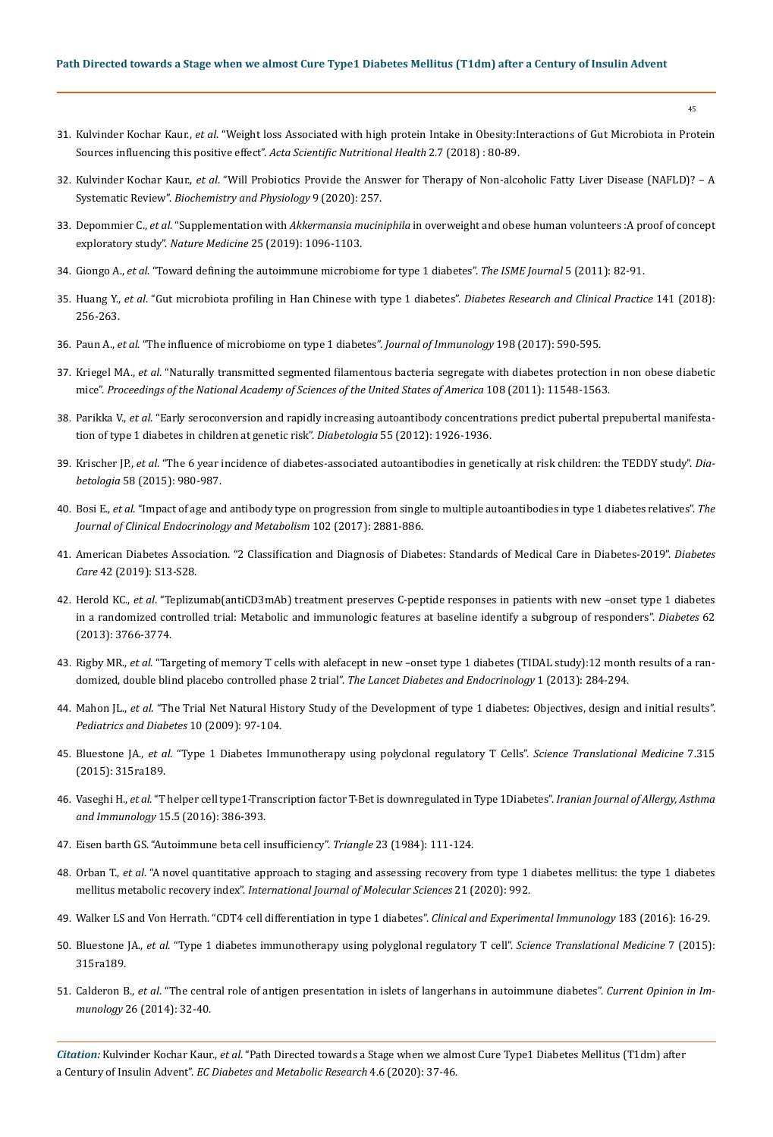45

- 31. Kulvinder Kochar Kaur., *et al*[. "Weight loss Associated with high protein Intake in Obesity:Interactions of Gut Microbiota in Protein](https://www.researchgate.net/publication/325988027_Weight_Loss_Associated_with_High_Protein_Diet_Intake_in_Obesity_Interactions_of_Gut_Microbiota_in_Protein_Sources_Influencing_this_Positive_Effect)  [Sources influencing this positive effect".](https://www.researchgate.net/publication/325988027_Weight_Loss_Associated_with_High_Protein_Diet_Intake_in_Obesity_Interactions_of_Gut_Microbiota_in_Protein_Sources_Influencing_this_Positive_Effect) *Acta Scientific Nutritional Health* 2.7 (2018) : 80-89.
- 32. Kulvinder Kochar Kaur., *et al*[. "Will Probiotics Provide the Answer for Therapy of Non-alcoholic Fatty Liver Disease \(NAFLD\)? A](https://www.researchgate.net/publication/339508376_Will_Probiotics_Provide_the_Answer_for_Therapy_of_Non-alcoholic_Fatty_Liver_Disease_NAFLD_-_A_Systematic_Review_Biochem_Physiol_9_257)  Systematic Review". *[Biochemistry and Physiology](https://www.researchgate.net/publication/339508376_Will_Probiotics_Provide_the_Answer_for_Therapy_of_Non-alcoholic_Fatty_Liver_Disease_NAFLD_-_A_Systematic_Review_Biochem_Physiol_9_257)* 9 (2020): 257.
- 33. Depommier C., *et al*. "Supplementation with *Akkermansia muciniphila* [in overweight and obese human volunteers :A proof of concept](https://www.researchgate.net/publication/334155626_Supplementation_with_Akkermansia_muciniphila_in_overweight_and_obese_human_volunteers_a_proof-of-concept_exploratory_study)  exploratory study". *Nature Medicine* [25 \(2019\): 1096-1103.](https://www.researchgate.net/publication/334155626_Supplementation_with_Akkermansia_muciniphila_in_overweight_and_obese_human_volunteers_a_proof-of-concept_exploratory_study)
- 34. Giongo A., *et al*[. "Toward defining the autoimmune microbiome for type 1 diabetes".](https://www.ncbi.nlm.nih.gov/pmc/articles/PMC3105672/) *The ISME Journal* 5 (2011): 82-91.
- 35. Huang Y., *et al*[. "Gut microbiota profiling in Han Chinese with type 1 diabetes".](https://www.ncbi.nlm.nih.gov/pubmed/29733871) *Diabetes Research and Clinical Practice* 141 (2018): [256-263.](https://www.ncbi.nlm.nih.gov/pubmed/29733871)
- 36. Paun A., *et al*[. "The influence of microbiome on type 1 diabetes".](https://www.ncbi.nlm.nih.gov/pubmed/28069754) *Journal of Immunology* 198 (2017): 590-595.
- 37. Kriegel MA., *et al*[. "Naturally transmitted segmented filamentous bacteria segregate with diabetes protection in non obese diabetic](https://www.semanticscholar.org/paper/Naturally-transmitted-segmented-filamentous-with-in-Kriegel-Sefik/4224e689415d1bae8809255dabc7f363b449d90d)  mice". *[Proceedings of the National Academy of Sciences of the United States of America](https://www.semanticscholar.org/paper/Naturally-transmitted-segmented-filamentous-with-in-Kriegel-Sefik/4224e689415d1bae8809255dabc7f363b449d90d)* 108 (2011): 11548-1563.
- 38. Parikka V., *et al*[. "Early seroconversion and rapidly increasing autoantibody concentrations predict pubertal prepubertal manifesta](https://www.ncbi.nlm.nih.gov/pubmed/22441569)[tion of type 1 diabetes in children at genetic risk".](https://www.ncbi.nlm.nih.gov/pubmed/22441569) *Diabetologia* 55 (2012): 1926-1936.
- 39. Krischer JP., *et al*[. "The 6 year incidence of diabetes-associated autoantibodies in genetically at risk children: the TEDDY study".](https://www.ncbi.nlm.nih.gov/pubmed/25660258) *Diabetologia* [58 \(2015\): 980-987.](https://www.ncbi.nlm.nih.gov/pubmed/25660258)
- 40. Bosi E., *et al*[. "Impact of age and antibody type on progression from single to multiple autoantibodies in type 1 diabetes relatives".](https://www.ncbi.nlm.nih.gov/pubmed/28531305) *The [Journal of Clinical Endocrinology and Metabolism](https://www.ncbi.nlm.nih.gov/pubmed/28531305)* 102 (2017): 2881-886.
- 41. [American Diabetes Association. "2 Classification and Diagnosis of Diabetes: Standards of Medical Care in Diabetes-2019".](https://care.diabetesjournals.org/content/42/Supplement_1/S13) *Diabetes Care* [42 \(2019\): S13-S28.](https://care.diabetesjournals.org/content/42/Supplement_1/S13)
- 42. Herold KC., *et al*[. "Teplizumab\(antiCD3mAb\) treatment preserves C-peptide responses in patients with new –onset type 1 diabetes](https://www.ncbi.nlm.nih.gov/pubmed/23835333)  [in a randomized controlled trial: Metabolic and immunologic features at baseline identify a subgroup of responders".](https://www.ncbi.nlm.nih.gov/pubmed/23835333) *Diabetes* 62 [\(2013\): 3766-3774.](https://www.ncbi.nlm.nih.gov/pubmed/23835333)
- 43. Rigby MR., *et al*[. "Targeting of memory T cells with alefacept in new –onset type 1 diabetes \(TIDAL study\):12 month results of a ran](https://www.ncbi.nlm.nih.gov/pubmed/24622414)[domized, double blind placebo controlled phase 2 trial".](https://www.ncbi.nlm.nih.gov/pubmed/24622414) *The Lancet Diabetes and Endocrinology* 1 (2013): 284-294.
- 44. Mahon JL., *et al*[. "The Trial Net Natural History Study of the Development of type 1 diabetes: Objectives, design and initial results".](https://www.ncbi.nlm.nih.gov/pubmed/18823409)  *[Pediatrics and Diabetes](https://www.ncbi.nlm.nih.gov/pubmed/18823409)* 10 (2009): 97-104.
- 45. Bluestone JA., *et al*[. "Type 1 Diabetes Immunotherapy using polyclonal regulatory T Cells".](https://www.ncbi.nlm.nih.gov/pubmed/26606968) *Science Translational Medicine* 7.315 [\(2015\): 315ra189.](https://www.ncbi.nlm.nih.gov/pubmed/26606968)
- 46. Vaseghi H., *et al*[. "T helper cell type1-Transcription factor T-Bet is downregulated in Type 1Diabetes".](https://www.ncbi.nlm.nih.gov/pubmed/27917625) *Iranian Journal of Allergy, Asthma and Immunology* [15.5 \(2016\): 386-393.](https://www.ncbi.nlm.nih.gov/pubmed/27917625)
- 47. Eisen barth GS. "Autoimmune beta cell insufficiency". *Triangle* 23 (1984): 111-124.
- 48. Orban T., *et al*[. "A novel quantitative approach to staging and assessing recovery from type 1 diabetes mellitus: the type 1 diabetes](https://www.ncbi.nlm.nih.gov/pubmed/32028576)  mellitus metabolic recovery index". *[International Journal of Molecular Sciences](https://www.ncbi.nlm.nih.gov/pubmed/32028576)* 21 (2020): 992.
- 49. [Walker LS and Von Herrath. "CDT4 cell differentiation in type 1 diabetes".](https://www.ncbi.nlm.nih.gov/pmc/articles/PMC4687517/) *Clinical and Experimental Immunology* 183 (2016): 16-29.
- 50. Bluestone JA., *et al*[. "Type 1 diabetes immunotherapy using polyglonal regulatory T cell".](https://www.ncbi.nlm.nih.gov/pubmed/26606968) *Science Translational Medicine* 7 (2015): [315ra189.](https://www.ncbi.nlm.nih.gov/pubmed/26606968)
- 51. Calderon B., *et al*[. "The central role of antigen presentation in islets of langerhans in autoimmune diabetes".](https://www.ncbi.nlm.nih.gov/pubmed/24556398) *Current Opinion in Immunology* [26 \(2014\): 32-40.](https://www.ncbi.nlm.nih.gov/pubmed/24556398)